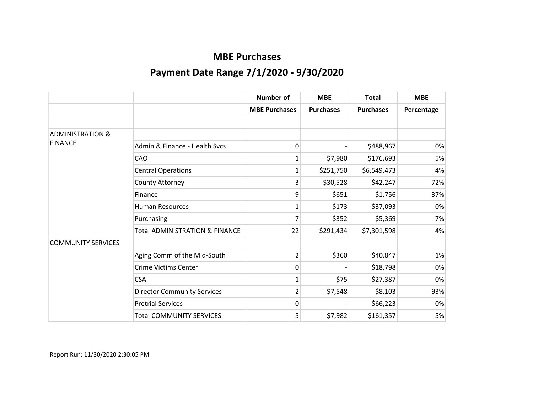|                             |                                    | Number of            | <b>MBE</b>       | <b>Total</b>     | <b>MBE</b>        |
|-----------------------------|------------------------------------|----------------------|------------------|------------------|-------------------|
|                             |                                    | <b>MBE Purchases</b> | <b>Purchases</b> | <b>Purchases</b> | <b>Percentage</b> |
|                             |                                    |                      |                  |                  |                   |
| <b>ADMINISTRATION &amp;</b> |                                    |                      |                  |                  |                   |
| <b>FINANCE</b>              | Admin & Finance - Health Sycs      | 0                    |                  | \$488,967        | 0%                |
|                             | CAO                                | 1                    | \$7,980          | \$176,693        | 5%                |
|                             | <b>Central Operations</b>          | 1                    | \$251,750        | \$6,549,473      | 4%                |
|                             | County Attorney                    | 3                    | \$30,528         | \$42,247         | 72%               |
|                             | Finance                            | 9                    | \$651            | \$1,756          | 37%               |
|                             | <b>Human Resources</b>             | 1                    | \$173            | \$37,093         | 0%                |
|                             | Purchasing                         | 7                    | \$352            | \$5,369          | 7%                |
|                             | Total ADMINISTRATION & FINANCE     | 22                   | \$291,434        | \$7,301,598      | 4%                |
| <b>COMMUNITY SERVICES</b>   |                                    |                      |                  |                  |                   |
|                             | Aging Comm of the Mid-South        | $\overline{2}$       | \$360            | \$40,847         | 1%                |
|                             | <b>Crime Victims Center</b>        | 0                    |                  | \$18,798         | 0%                |
|                             | <b>CSA</b>                         | 1                    | \$75             | \$27,387         | 0%                |
|                             | <b>Director Community Services</b> | $\overline{2}$       | \$7,548          | \$8,103          | 93%               |
|                             | <b>Pretrial Services</b>           | 0                    |                  | \$66,223         | 0%                |
|                             | <b>Total COMMUNITY SERVICES</b>    | 5                    | \$7,982          | \$161,357        | 5%                |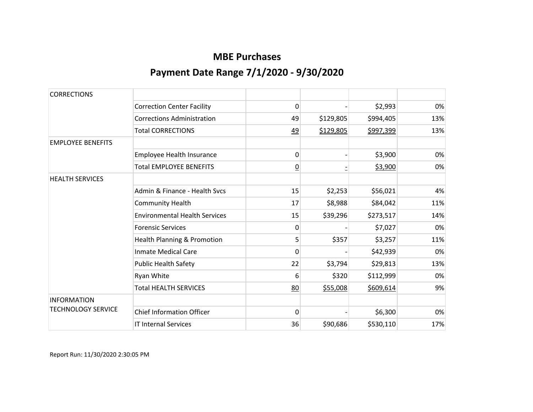| <b>CORRECTIONS</b>        |                                      |                |           |           |     |
|---------------------------|--------------------------------------|----------------|-----------|-----------|-----|
|                           | <b>Correction Center Facility</b>    | 0              |           | \$2,993   | 0%  |
|                           | <b>Corrections Administration</b>    | 49             | \$129,805 | \$994,405 | 13% |
|                           | <b>Total CORRECTIONS</b>             | <u>49</u>      | \$129,805 | \$997,399 | 13% |
| <b>EMPLOYEE BENEFITS</b>  |                                      |                |           |           |     |
|                           | Employee Health Insurance            | 0              |           | \$3,900   | 0%  |
|                           | <b>Total EMPLOYEE BENEFITS</b>       | $\overline{0}$ |           | \$3,900   | 0%  |
| <b>HEALTH SERVICES</b>    |                                      |                |           |           |     |
|                           | Admin & Finance - Health Sycs        | 15             | \$2,253   | \$56,021  | 4%  |
|                           | <b>Community Health</b>              | 17             | \$8,988   | \$84,042  | 11% |
|                           | <b>Environmental Health Services</b> | 15             | \$39,296  | \$273,517 | 14% |
|                           | <b>Forensic Services</b>             | 0              |           | \$7,027   | 0%  |
|                           | Health Planning & Promotion          | 5              | \$357     | \$3,257   | 11% |
|                           | <b>Inmate Medical Care</b>           | 0              |           | \$42,939  | 0%  |
|                           | <b>Public Health Safety</b>          | 22             | \$3,794   | \$29,813  | 13% |
|                           | Ryan White                           | 6              | \$320     | \$112,999 | 0%  |
|                           | <b>Total HEALTH SERVICES</b>         | 80             | \$55,008  | \$609,614 | 9%  |
| <b>INFORMATION</b>        |                                      |                |           |           |     |
| <b>TECHNOLOGY SERVICE</b> | <b>Chief Information Officer</b>     | $\Omega$       |           | \$6,300   | 0%  |
|                           | <b>IT Internal Services</b>          | 36             | \$90,686  | \$530,110 | 17% |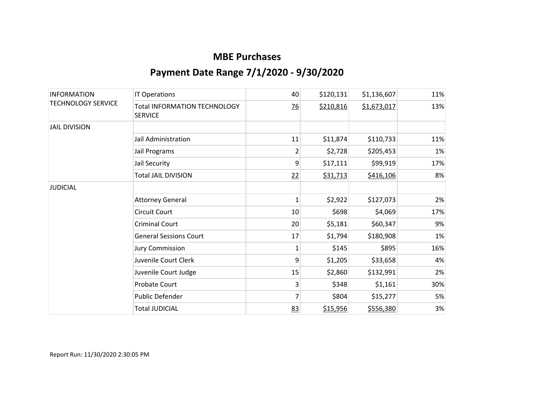| <b>INFORMATION</b><br><b>TECHNOLOGY SERVICE</b> | <b>IT Operations</b>                                  | 40             | \$120,131 | \$1,136,607 | 11% |
|-------------------------------------------------|-------------------------------------------------------|----------------|-----------|-------------|-----|
|                                                 | <b>Total INFORMATION TECHNOLOGY</b><br><b>SERVICE</b> | $\frac{76}{2}$ | \$210,816 | \$1,673,017 | 13% |
| <b>JAIL DIVISION</b>                            |                                                       |                |           |             |     |
|                                                 | Jail Administration                                   | 11             | \$11,874  | \$110,733   | 11% |
|                                                 | Jail Programs                                         | $\overline{2}$ | \$2,728   | \$205,453   | 1%  |
|                                                 | Jail Security                                         | 9              | \$17,111  | \$99,919    | 17% |
|                                                 | <b>Total JAIL DIVISION</b>                            | 22             | \$31,713  | \$416,106   | 8%  |
| <b>JUDICIAL</b>                                 |                                                       |                |           |             |     |
|                                                 | <b>Attorney General</b>                               | $\mathbf{1}$   | \$2,922   | \$127,073   | 2%  |
|                                                 | <b>Circuit Court</b>                                  | 10             | \$698     | \$4,069     | 17% |
|                                                 | <b>Criminal Court</b>                                 | 20             | \$5,181   | \$60,347    | 9%  |
|                                                 | <b>General Sessions Court</b>                         | 17             | \$1,794   | \$180,908   | 1%  |
|                                                 | <b>Jury Commission</b>                                | 1              | \$145     | \$895       | 16% |
|                                                 | Juvenile Court Clerk                                  | 9              | \$1,205   | \$33,658    | 4%  |
|                                                 | Juvenile Court Judge                                  | 15             | \$2,860   | \$132,991   | 2%  |
|                                                 | Probate Court                                         | 3              | \$348     | \$1,161     | 30% |
|                                                 | Public Defender                                       | $\overline{7}$ | \$804     | \$15,277    | 5%  |
|                                                 | <b>Total JUDICIAL</b>                                 | 83             | \$15,956  | \$556,380   | 3%  |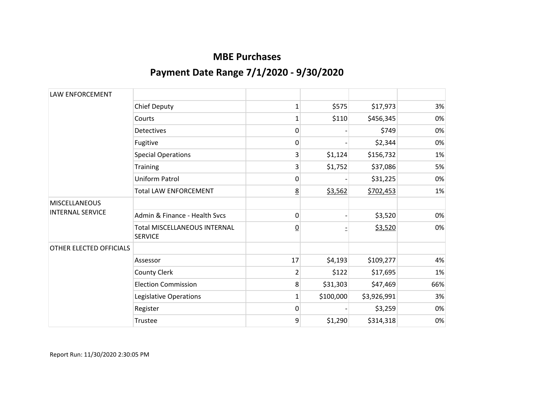| <b>LAW ENFORCEMENT</b>                          |                                                       |                 |           |             |     |
|-------------------------------------------------|-------------------------------------------------------|-----------------|-----------|-------------|-----|
|                                                 | <b>Chief Deputy</b>                                   | $\mathbf{1}$    | \$575     | \$17,973    | 3%  |
|                                                 | Courts                                                | 1               | \$110     | \$456,345   | 0%  |
|                                                 | <b>Detectives</b>                                     | 0               |           | \$749       | 0%  |
|                                                 | Fugitive                                              | 0               |           | \$2,344     | 0%  |
|                                                 | <b>Special Operations</b>                             | 3               | \$1,124   | \$156,732   | 1%  |
|                                                 | Training                                              | 3               | \$1,752   | \$37,086    | 5%  |
|                                                 | <b>Uniform Patrol</b>                                 | 0               |           | \$31,225    | 0%  |
|                                                 | <b>Total LAW ENFORCEMENT</b>                          | <u>8</u>        | \$3,562   | \$702,453   | 1%  |
| <b>MISCELLANEOUS</b><br><b>INTERNAL SERVICE</b> |                                                       |                 |           |             |     |
|                                                 | Admin & Finance - Health Sycs                         | 0               |           | \$3,520     | 0%  |
|                                                 | <b>Total MISCELLANEOUS INTERNAL</b><br><b>SERVICE</b> | $\underline{0}$ |           | \$3,520     | 0%  |
| OTHER ELECTED OFFICIALS                         |                                                       |                 |           |             |     |
|                                                 | Assessor                                              | 17              | \$4,193   | \$109,277   | 4%  |
|                                                 | County Clerk                                          | $\overline{2}$  | \$122     | \$17,695    | 1%  |
|                                                 | <b>Election Commission</b>                            | 8               | \$31,303  | \$47,469    | 66% |
|                                                 | Legislative Operations                                | 1               | \$100,000 | \$3,926,991 | 3%  |
|                                                 | Register                                              | 0               |           | \$3,259     | 0%  |
|                                                 | Trustee                                               | 9               | \$1,290   | \$314,318   | 0%  |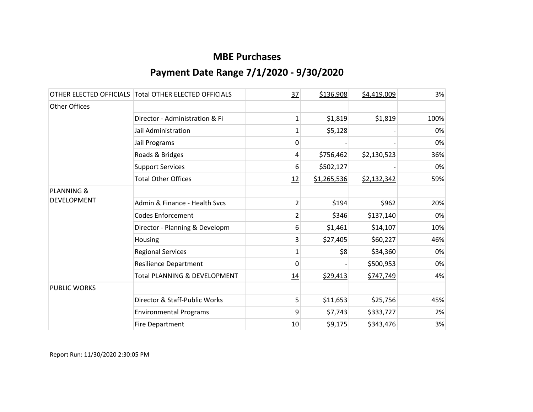|                       | OTHER ELECTED OFFICIALS Total OTHER ELECTED OFFICIALS | 37             | \$136,908   | \$4,419,009 | 3%   |
|-----------------------|-------------------------------------------------------|----------------|-------------|-------------|------|
| Other Offices         |                                                       |                |             |             |      |
|                       | Director - Administration & Fi                        | $\mathbf{1}$   | \$1,819     | \$1,819     | 100% |
|                       | Jail Administration                                   | 1              | \$5,128     |             | 0%   |
|                       | Jail Programs                                         | 0              |             |             | 0%   |
|                       | Roads & Bridges                                       | 4              | \$756,462   | \$2,130,523 | 36%  |
|                       | <b>Support Services</b>                               | 6              | \$502,127   |             | 0%   |
|                       | <b>Total Other Offices</b>                            | 12             | \$1,265,536 | \$2,132,342 | 59%  |
| <b>PLANNING &amp;</b> |                                                       |                |             |             |      |
| <b>DEVELOPMENT</b>    | Admin & Finance - Health Svcs                         | $\overline{2}$ | \$194       | \$962       | 20%  |
|                       | <b>Codes Enforcement</b>                              | $\overline{2}$ | \$346       | \$137,140   | 0%   |
|                       | Director - Planning & Developm                        | 6              | \$1,461     | \$14,107    | 10%  |
|                       | Housing                                               | 3              | \$27,405    | \$60,227    | 46%  |
|                       | <b>Regional Services</b>                              | 1              | \$8         | \$34,360    | 0%   |
|                       | <b>Resilience Department</b>                          | 0              |             | \$500,953   | 0%   |
|                       | Total PLANNING & DEVELOPMENT                          | 14             | \$29,413    | \$747,749   | 4%   |
| <b>PUBLIC WORKS</b>   |                                                       |                |             |             |      |
|                       | Director & Staff-Public Works                         | 5              | \$11,653    | \$25,756    | 45%  |
|                       | <b>Environmental Programs</b>                         | 9              | \$7,743     | \$333,727   | 2%   |
|                       | <b>Fire Department</b>                                | 10             | \$9,175     | \$343,476   | 3%   |